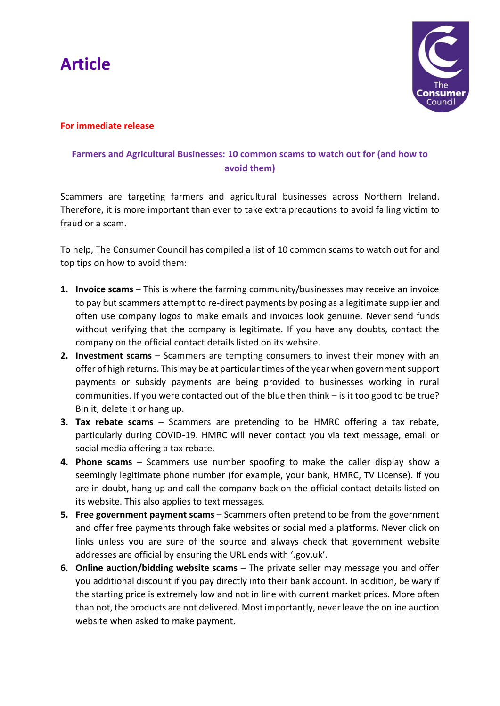



#### **For immediate release**

### **Farmers and Agricultural Businesses: 10 common scams to watch out for (and how to avoid them)**

Scammers are targeting farmers and agricultural businesses across Northern Ireland. Therefore, it is more important than ever to take extra precautions to avoid falling victim to fraud or a scam.

To help, The Consumer Council has compiled a list of 10 common scams to watch out for and top tips on how to avoid them:

- **1. Invoice scams** This is where the farming community/businesses may receive an invoice to pay but scammers attempt to re-direct payments by posing as a legitimate supplier and often use company logos to make emails and invoices look genuine. Never send funds without verifying that the company is legitimate. If you have any doubts, contact the company on the official contact details listed on its website.
- **2. Investment scams** Scammers are tempting consumers to invest their money with an offer of high returns. This may be at particular times of the year when government support payments or subsidy payments are being provided to businesses working in rural communities. If you were contacted out of the blue then think – is it too good to be true? Bin it, delete it or hang up.
- **3. Tax rebate scams** Scammers are pretending to be HMRC offering a tax rebate, particularly during COVID-19. HMRC will never contact you via text message, email or social media offering a tax rebate.
- **4. Phone scams**  Scammers use number spoofing to make the caller display show a seemingly legitimate phone number (for example, your bank, HMRC, TV License). If you are in doubt, hang up and call the company back on the official contact details listed on its website. This also applies to text messages.
- **5. Free government payment scams** Scammers often pretend to be from the government and offer free payments through fake websites or social media platforms. Never click on links unless you are sure of the source and always check that government website addresses are official by ensuring the URL ends with '.gov.uk'.
- **6. Online auction/bidding website scams** The private seller may message you and offer you additional discount if you pay directly into their bank account. In addition, be wary if the starting price is extremely low and not in line with current market prices. More often than not, the products are not delivered. Most importantly, never leave the online auction website when asked to make payment.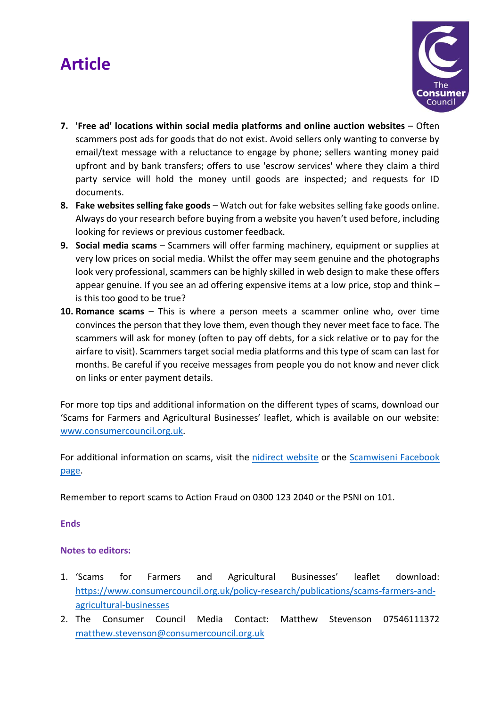# **Article**



- **7. 'Free ad' locations within social media platforms and online auction websites** Often scammers post ads for goods that do not exist. Avoid sellers only wanting to converse by email/text message with a reluctance to engage by phone; sellers wanting money paid upfront and by bank transfers; offers to use 'escrow services' where they claim a third party service will hold the money until goods are inspected; and requests for ID documents.
- **8. Fake websites selling fake goods** Watch out for fake websites selling fake goods online. Always do your research before buying from a website you haven't used before, including looking for reviews or previous customer feedback.
- **9. Social media scams** Scammers will offer farming machinery, equipment or supplies at very low prices on social media. Whilst the offer may seem genuine and the photographs look very professional, scammers can be highly skilled in web design to make these offers appear genuine. If you see an ad offering expensive items at a low price, stop and think – is this too good to be true?
- **10. Romance scams** This is where a person meets a scammer online who, over time convinces the person that they love them, even though they never meet face to face. The scammers will ask for money (often to pay off debts, for a sick relative or to pay for the airfare to visit). Scammers target social media platforms and this type of scam can last for months. Be careful if you receive messages from people you do not know and never click on links or enter payment details.

For more top tips and additional information on the different types of scams, download our 'Scams for Farmers and Agricultural Businesses' leaflet, which is available on our website: [www.consumercouncil.org.uk.](https://www.consumercouncil.org.uk/policy-research/publications/scams-farmers-and-agricultural-businesses)

For additional information on scams, visit the [nidirect website](http://www.nidirect.gov.uk/campaigns/scamwiseni) or the [Scamwiseni Facebook](https://www.facebook.com/scamwiseni)  [page.](https://www.facebook.com/scamwiseni)

Remember to report scams to Action Fraud on 0300 123 2040 or the PSNI on 101.

**Ends**

#### **Notes to editors:**

- 1. 'Scams for Farmers and Agricultural Businesses' leaflet download: https://www.consumercouncil.org.uk/policy-research/publications/scams-farmers-andagricultural-businesses
- 2. The Consumer Council Media Contact: Matthew Stevenson 07546111372 [matthew.stevenson@consumercouncil.org.uk](mailto:matthew.stevenson@consumercouncil.org.uk)